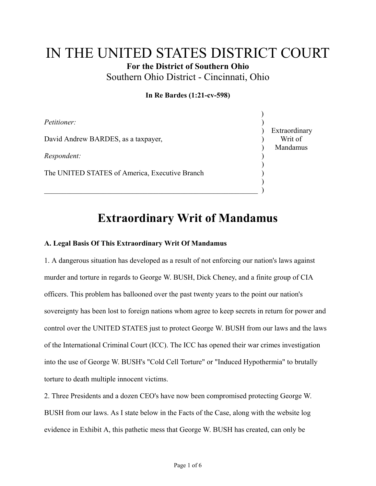## IN THE UNITED STATES DISTRICT COURT **For the District of Southern Ohio**

Southern Ohio District - Cincinnati, Ohio

## **In Re Bardes (1:21-cv-598)**

 $\lambda$ 

| <i>Petitioner:</i>                             |                                      |
|------------------------------------------------|--------------------------------------|
| David Andrew BARDES, as a taxpayer,            | Extraordinary<br>Writ of<br>Mandamus |
| Respondent:                                    |                                      |
| The UNITED STATES of America, Executive Branch |                                      |
|                                                |                                      |

# **Extraordinary Writ of Mandamus**

### **A. Legal Basis Of This Extraordinary Writ Of Mandamus**

 $\hspace{.5cm}$  , which is a set of the set of the set of the set of the set of the set of the set of the set of the set of the set of the set of the set of the set of the set of the set of the set of the set of the set of the

1. A dangerous situation has developed as a result of not enforcing our nation's laws against murder and torture in regards to George W. BUSH, Dick Cheney, and a finite group of CIA officers. This problem has ballooned over the past twenty years to the point our nation's sovereignty has been lost to foreign nations whom agree to keep secrets in return for power and control over the UNITED STATES just to protect George W. BUSH from our laws and the laws of the International Criminal Court (ICC). The ICC has opened their war crimes investigation into the use of George W. BUSH's "Cold Cell Torture" or "Induced Hypothermia" to brutally torture to death multiple innocent victims.

2. Three Presidents and a dozen CEO's have now been compromised protecting George W. BUSH from our laws. As I state below in the Facts of the Case, along with the website log evidence in Exhibit A, this pathetic mess that George W. BUSH has created, can only be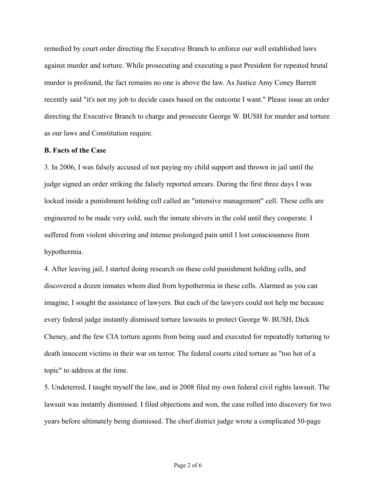remedied by court order directing the Executive Branch to enforce our well established laws against murder and torture. While prosecuting and executing a past President for repeated brutal murder is profound, the fact remains no one is above the law. As Justice Amy Coney Barrett recently said "it's not my job to decide cases based on the outcome I want." Please issue an order directing the Executive Branch to charge and prosecute George W. BUSH for murder and torture as our laws and Constitution require.

#### **B. Facts of the Case**

3. In 2006, I was falsely accused of not paying my child support and thrown in jail until the judge signed an order striking the falsely reported arrears. During the first three days I was locked inside a punishment holding cell called an "intensive management" cell. These cells are engineered to be made very cold, such the inmate shivers in the cold until they cooperate. I suffered from violent shivering and intense prolonged pain until I lost consciousness from hypothermia.

4. After leaving jail, I started doing research on these cold punishment holding cells, and discovered a dozen inmates whom died from hypothermia in these cells. Alarmed as you can imagine, I sought the assistance of lawyers. But each of the lawyers could not help me because every federal judge instantly dismissed torture lawsuits to protect George W. BUSH, Dick Cheney, and the few CIA torture agents from being sued and executed for repeatedly torturing to death innocent victims in their war on terror. The federal courts cited torture as "too hot of a topic" to address at the time.

5. Undeterred, I taught myself the law, and in 2008 filed my own federal civil rights lawsuit. The lawsuit was instantly dismissed. I filed objections and won, the case rolled into discovery for two years before ultimately being dismissed. The chief district judge wrote a complicated 50-page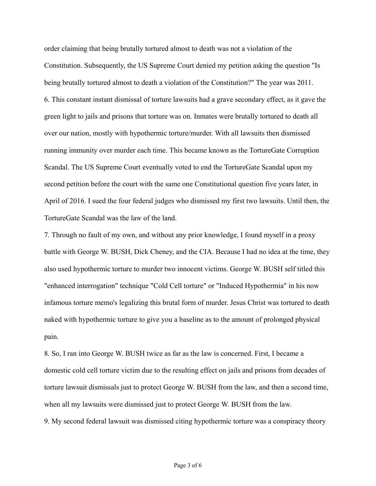order claiming that being brutally tortured almost to death was not a violation of the Constitution. Subsequently, the US Supreme Court denied my petition asking the question "Is being brutally tortured almost to death a violation of the Constitution?" The year was 2011. 6. This constant instant dismissal of torture lawsuits had a grave secondary effect, as it gave the green light to jails and prisons that torture was on. Inmates were brutally tortured to death all over our nation, mostly with hypothermic torture/murder. With all lawsuits then dismissed running immunity over murder each time. This became known as the TortureGate Corruption Scandal. The US Supreme Court eventually voted to end the TortureGate Scandal upon my second petition before the court with the same one Constitutional question five years later, in April of 2016. I sued the four federal judges who dismissed my first two lawsuits. Until then, the TortureGate Scandal was the law of the land.

7. Through no fault of my own, and without any prior knowledge, I found myself in a proxy battle with George W. BUSH, Dick Cheney, and the CIA. Because I had no idea at the time, they also used hypothermic torture to murder two innocent victims. George W. BUSH self titled this "enhanced interrogation" technique "Cold Cell torture" or "Induced Hypothermia" in his now infamous torture memo's legalizing this brutal form of murder. Jesus Christ was tortured to death naked with hypothermic torture to give you a baseline as to the amount of prolonged physical pain.

8. So, I ran into George W. BUSH twice as far as the law is concerned. First, I became a domestic cold cell torture victim due to the resulting effect on jails and prisons from decades of torture lawsuit dismissals just to protect George W. BUSH from the law, and then a second time, when all my lawsuits were dismissed just to protect George W. BUSH from the law.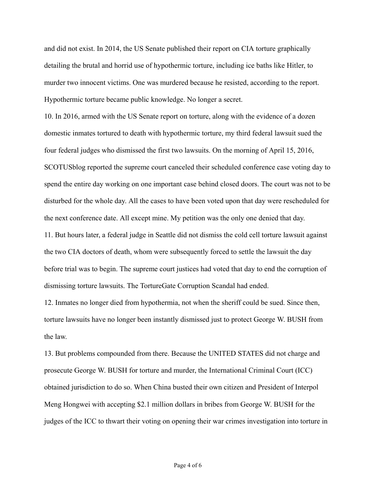and did not exist. In 2014, the US Senate published their report on CIA torture graphically detailing the brutal and horrid use of hypothermic torture, including ice baths like Hitler, to murder two innocent victims. One was murdered because he resisted, according to the report. Hypothermic torture became public knowledge. No longer a secret.

10. In 2016, armed with the US Senate report on torture, along with the evidence of a dozen domestic inmates tortured to death with hypothermic torture, my third federal lawsuit sued the four federal judges who dismissed the first two lawsuits. On the morning of April 15, 2016, SCOTUSblog reported the supreme court canceled their scheduled conference case voting day to spend the entire day working on one important case behind closed doors. The court was not to be disturbed for the whole day. All the cases to have been voted upon that day were rescheduled for the next conference date. All except mine. My petition was the only one denied that day.

11. But hours later, a federal judge in Seattle did not dismiss the cold cell torture lawsuit against the two CIA doctors of death, whom were subsequently forced to settle the lawsuit the day before trial was to begin. The supreme court justices had voted that day to end the corruption of dismissing torture lawsuits. The TortureGate Corruption Scandal had ended.

12. Inmates no longer died from hypothermia, not when the sheriff could be sued. Since then, torture lawsuits have no longer been instantly dismissed just to protect George W. BUSH from the law.

13. But problems compounded from there. Because the UNITED STATES did not charge and prosecute George W. BUSH for torture and murder, the International Criminal Court (ICC) obtained jurisdiction to do so. When China busted their own citizen and President of Interpol Meng Hongwei with accepting \$2.1 million dollars in bribes from George W. BUSH for the judges of the ICC to thwart their voting on opening their war crimes investigation into torture in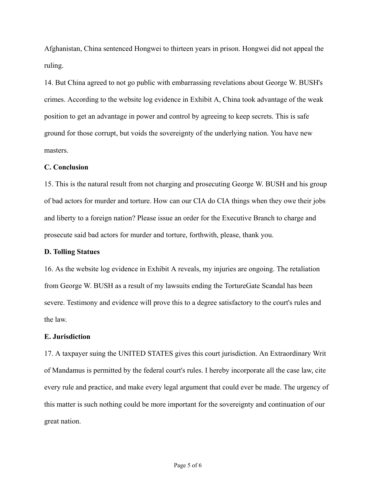Afghanistan, China sentenced Hongwei to thirteen years in prison. Hongwei did not appeal the ruling.

14. But China agreed to not go public with embarrassing revelations about George W. BUSH's crimes. According to the website log evidence in Exhibit A, China took advantage of the weak position to get an advantage in power and control by agreeing to keep secrets. This is safe ground for those corrupt, but voids the sovereignty of the underlying nation. You have new masters.

#### **C. Conclusion**

15. This is the natural result from not charging and prosecuting George W. BUSH and his group of bad actors for murder and torture. How can our CIA do CIA things when they owe their jobs and liberty to a foreign nation? Please issue an order for the Executive Branch to charge and prosecute said bad actors for murder and torture, forthwith, please, thank you.

#### **D. Tolling Statues**

16. As the website log evidence in Exhibit A reveals, my injuries are ongoing. The retaliation from George W. BUSH as a result of my lawsuits ending the TortureGate Scandal has been severe. Testimony and evidence will prove this to a degree satisfactory to the court's rules and the law.

#### **E. Jurisdiction**

17. A taxpayer suing the UNITED STATES gives this court jurisdiction. An Extraordinary Writ of Mandamus is permitted by the federal court's rules. I hereby incorporate all the case law, cite every rule and practice, and make every legal argument that could ever be made. The urgency of this matter is such nothing could be more important for the sovereignty and continuation of our great nation.